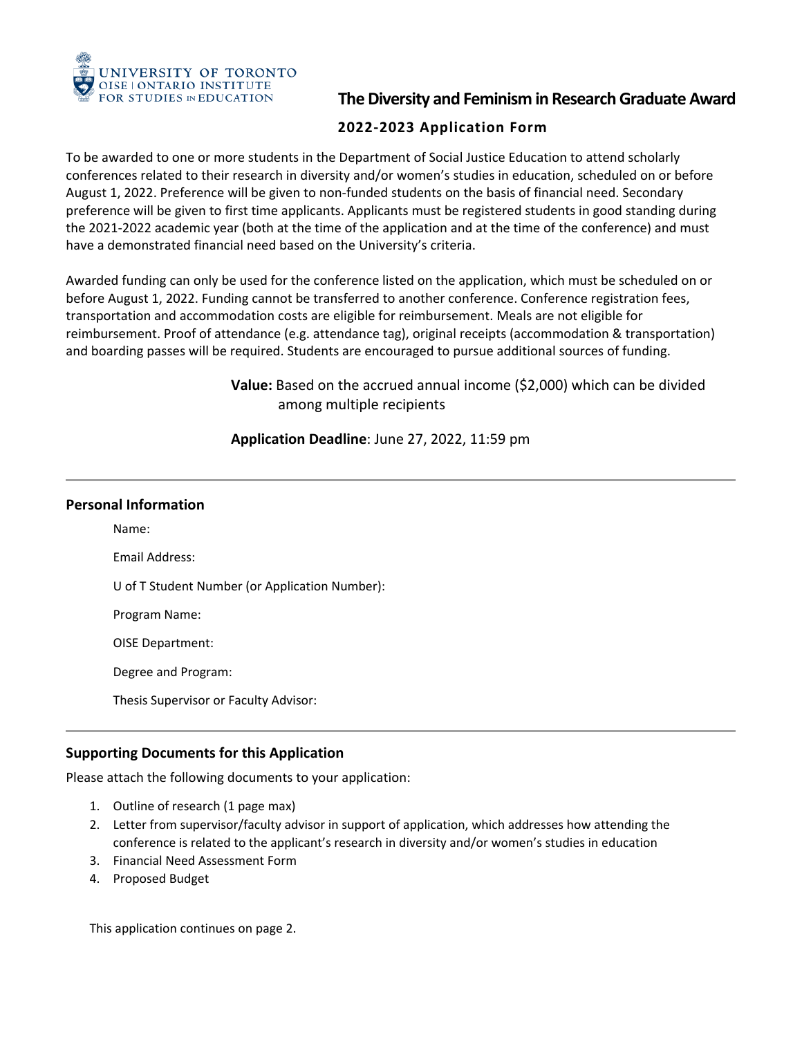

 FOR STUDIES IN EDUCATION **The Diversity and Feminism in Research Graduate Award** 

# **2022-2023 Application Form**

To be awarded to one or more students in the Department of Social Justice Education to attend scholarly conferences related to their research in diversity and/or women's studies in education, scheduled on or before August 1, 2022. Preference will be given to non-funded students on the basis of financial need. Secondary preference will be given to first time applicants. Applicants must be registered students in good standing during the 2021-2022 academic year (both at the time of the application and at the time of the conference) and must have a demonstrated financial need based on the University's criteria.

 Awarded funding can only be used for the conference listed on the application, which must be scheduled on or transportation and accommodation costs are eligible for reimbursement. Meals are not eligible for before August 1, 2022. Funding cannot be transferred to another conference. Conference registration fees, reimbursement. Proof of attendance (e.g. attendance tag), original receipts (accommodation & transportation) and boarding passes will be required. Students are encouraged to pursue additional sources of funding.

> **Value:** Based on the accrued annual income (\$2,000) which can be divided among multiple recipients

**Application Deadline**: June 27, 2022, 11:59 pm

## **Personal Information**

Name: Email Address: U of T Student Number (or Application Number): Program Name: OISE Department: Degree and Program: Thesis Supervisor or Faculty Advisor:

# **Supporting Documents for this Application**

Please attach the following documents to your application:

- 1. Outline of research (1 page max)
- 2. Letter from supervisor/faculty advisor in support of application, which addresses how attending the conference is related to the applicant's research in diversity and/or women's studies in education
- 3. Financial Need Assessment Form
- 4. Proposed Budget

This application continues on page 2.